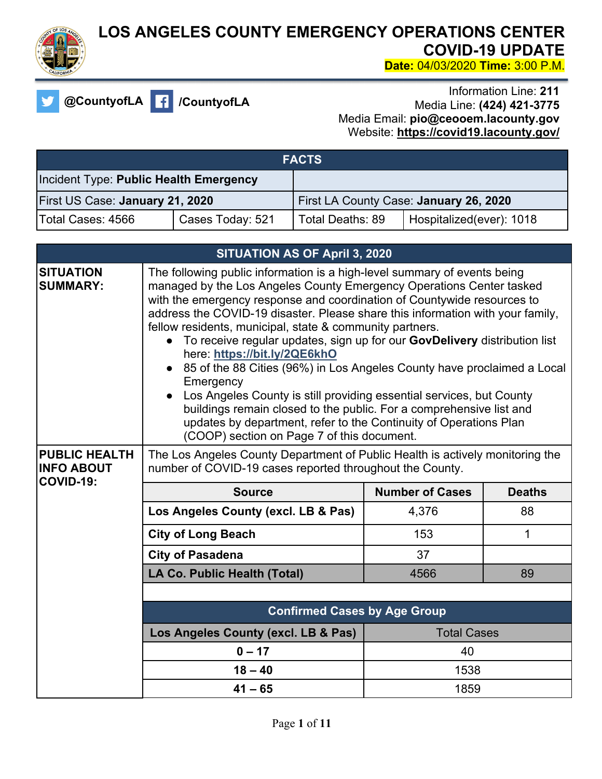

## **LOS ANGELES COUNTY EMERGENCY OPERATIONS CENTER COVID-19 UPDATE Date:** 04/03/2020 **Time:** 3:00 P.M.

**@CountyofLA /CountyofLA**

Information Line: **211** Media Line: **(424) 421-3775** Media Email: **pio@ceooem.lacounty.gov** Website: **https://covid19.lacounty.gov/** 

| <b>FACTS</b>                           |                  |                  |                                        |
|----------------------------------------|------------------|------------------|----------------------------------------|
| Incident Type: Public Health Emergency |                  |                  |                                        |
| First US Case: January 21, 2020        |                  |                  | First LA County Case: January 26, 2020 |
| lTotal Cases: 4566                     | Cases Today: 521 | Total Deaths: 89 | Hospitalized(ever): 1018               |

| <b>SITUATION AS OF April 3, 2020</b>                          |                                                                                                                                                                                                                                                                                                                                                                                                                                                                                                                                                                                                                                                                                                                                                                                                                                                      |                        |               |
|---------------------------------------------------------------|------------------------------------------------------------------------------------------------------------------------------------------------------------------------------------------------------------------------------------------------------------------------------------------------------------------------------------------------------------------------------------------------------------------------------------------------------------------------------------------------------------------------------------------------------------------------------------------------------------------------------------------------------------------------------------------------------------------------------------------------------------------------------------------------------------------------------------------------------|------------------------|---------------|
| <b>SITUATION</b><br><b>SUMMARY:</b>                           | The following public information is a high-level summary of events being<br>managed by the Los Angeles County Emergency Operations Center tasked<br>with the emergency response and coordination of Countywide resources to<br>address the COVID-19 disaster. Please share this information with your family,<br>fellow residents, municipal, state & community partners.<br>• To receive regular updates, sign up for our GovDelivery distribution list<br>here: https://bit.ly/2QE6khO<br>• 85 of the 88 Cities (96%) in Los Angeles County have proclaimed a Local<br>Emergency<br>Los Angeles County is still providing essential services, but County<br>buildings remain closed to the public. For a comprehensive list and<br>updates by department, refer to the Continuity of Operations Plan<br>(COOP) section on Page 7 of this document. |                        |               |
| <b>PUBLIC HEALTH</b><br><b>INFO ABOUT</b><br><b>COVID-19:</b> | The Los Angeles County Department of Public Health is actively monitoring the<br>number of COVID-19 cases reported throughout the County.                                                                                                                                                                                                                                                                                                                                                                                                                                                                                                                                                                                                                                                                                                            |                        |               |
|                                                               | <b>Source</b>                                                                                                                                                                                                                                                                                                                                                                                                                                                                                                                                                                                                                                                                                                                                                                                                                                        | <b>Number of Cases</b> | <b>Deaths</b> |
|                                                               | Los Angeles County (excl. LB & Pas)                                                                                                                                                                                                                                                                                                                                                                                                                                                                                                                                                                                                                                                                                                                                                                                                                  | 4,376                  | 88            |
|                                                               | <b>City of Long Beach</b>                                                                                                                                                                                                                                                                                                                                                                                                                                                                                                                                                                                                                                                                                                                                                                                                                            | 153                    | $\mathbf 1$   |
|                                                               | <b>City of Pasadena</b>                                                                                                                                                                                                                                                                                                                                                                                                                                                                                                                                                                                                                                                                                                                                                                                                                              | 37                     |               |
|                                                               | LA Co. Public Health (Total)                                                                                                                                                                                                                                                                                                                                                                                                                                                                                                                                                                                                                                                                                                                                                                                                                         | 4566                   | 89            |
|                                                               |                                                                                                                                                                                                                                                                                                                                                                                                                                                                                                                                                                                                                                                                                                                                                                                                                                                      |                        |               |
|                                                               | <b>Confirmed Cases by Age Group</b>                                                                                                                                                                                                                                                                                                                                                                                                                                                                                                                                                                                                                                                                                                                                                                                                                  |                        |               |
|                                                               | Los Angeles County (excl. LB & Pas)                                                                                                                                                                                                                                                                                                                                                                                                                                                                                                                                                                                                                                                                                                                                                                                                                  | <b>Total Cases</b>     |               |
|                                                               | $0 - 17$                                                                                                                                                                                                                                                                                                                                                                                                                                                                                                                                                                                                                                                                                                                                                                                                                                             | 40                     |               |
|                                                               | $18 - 40$                                                                                                                                                                                                                                                                                                                                                                                                                                                                                                                                                                                                                                                                                                                                                                                                                                            | 1538                   |               |
|                                                               | $41 - 65$                                                                                                                                                                                                                                                                                                                                                                                                                                                                                                                                                                                                                                                                                                                                                                                                                                            | 1859                   |               |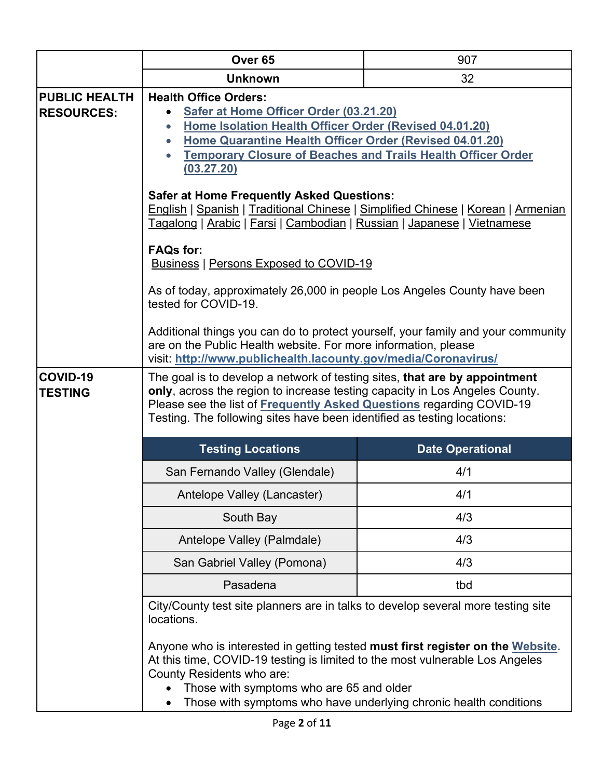|                                           | Over <sub>65</sub>                                                                                                                                                                                                                                                                                           | 907                                                               |
|-------------------------------------------|--------------------------------------------------------------------------------------------------------------------------------------------------------------------------------------------------------------------------------------------------------------------------------------------------------------|-------------------------------------------------------------------|
|                                           | <b>Unknown</b>                                                                                                                                                                                                                                                                                               | 32                                                                |
| <b>PUBLIC HEALTH</b><br><b>RESOURCES:</b> | <b>Health Office Orders:</b><br>Safer at Home Officer Order (03.21.20)<br>Home Isolation Health Officer Order (Revised 04.01.20)<br>Home Quarantine Health Officer Order (Revised 04.01.20)<br>$\bullet$<br><b>Temporary Closure of Beaches and Trails Health Officer Order</b><br>(03.27.20)                |                                                                   |
|                                           | <b>Safer at Home Frequently Asked Questions:</b><br>English   Spanish   Traditional Chinese   Simplified Chinese   Korean   Armenian<br>Tagalong   Arabic   Farsi   Cambodian   Russian   Japanese   Vietnamese                                                                                              |                                                                   |
|                                           | <b>FAQs for:</b><br><b>Business   Persons Exposed to COVID-19</b>                                                                                                                                                                                                                                            |                                                                   |
|                                           | As of today, approximately 26,000 in people Los Angeles County have been<br>tested for COVID-19.                                                                                                                                                                                                             |                                                                   |
|                                           | Additional things you can do to protect yourself, your family and your community<br>are on the Public Health website. For more information, please<br>visit: http://www.publichealth.lacounty.gov/media/Coronavirus/                                                                                         |                                                                   |
| COVID-19<br><b>TESTING</b>                | The goal is to develop a network of testing sites, that are by appointment<br>only, across the region to increase testing capacity in Los Angeles County.<br>Please see the list of Frequently Asked Questions regarding COVID-19<br>Testing. The following sites have been identified as testing locations: |                                                                   |
|                                           | <b>Testing Locations</b>                                                                                                                                                                                                                                                                                     | <b>Date Operational</b>                                           |
|                                           | San Fernando Valley (Glendale)                                                                                                                                                                                                                                                                               | 4/1                                                               |
|                                           | Antelope Valley (Lancaster)                                                                                                                                                                                                                                                                                  | 4/1                                                               |
|                                           | South Bay                                                                                                                                                                                                                                                                                                    | 4/3                                                               |
|                                           | Antelope Valley (Palmdale)                                                                                                                                                                                                                                                                                   | 4/3                                                               |
|                                           | San Gabriel Valley (Pomona)                                                                                                                                                                                                                                                                                  | 4/3                                                               |
|                                           | Pasadena                                                                                                                                                                                                                                                                                                     | tbd                                                               |
|                                           | City/County test site planners are in talks to develop several more testing site<br>locations.                                                                                                                                                                                                               |                                                                   |
|                                           | Anyone who is interested in getting tested must first register on the Website.<br>At this time, COVID-19 testing is limited to the most vulnerable Los Angeles<br>County Residents who are:<br>Those with symptoms who are 65 and older                                                                      | Those with symptoms who have underlying chronic health conditions |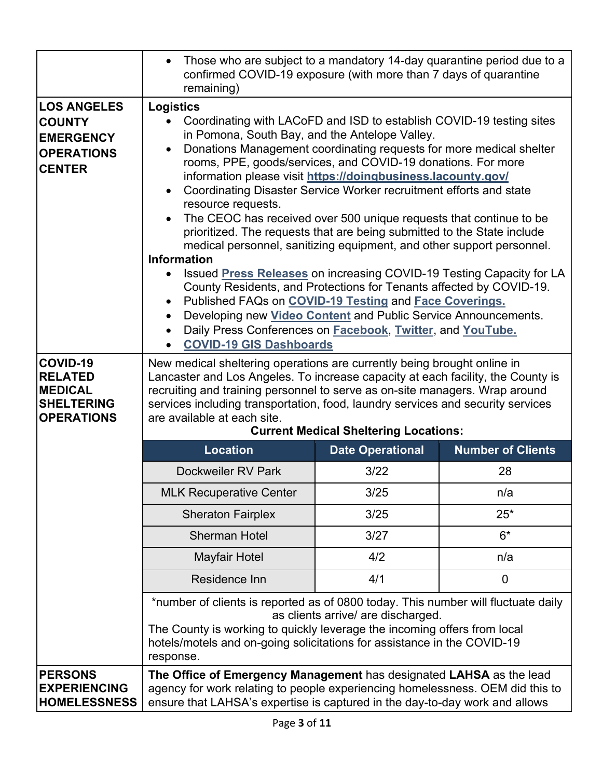|                                                                                               | Those who are subject to a mandatory 14-day quarantine period due to a<br>$\bullet$<br>confirmed COVID-19 exposure (with more than 7 days of quarantine<br>remaining)                                                                                                                                                                                                                                                                                                                                                                                                                                                                                                                                                                                                                                                                                                                                                                                                                                                                                                                                                                                               |                                    |                          |
|-----------------------------------------------------------------------------------------------|---------------------------------------------------------------------------------------------------------------------------------------------------------------------------------------------------------------------------------------------------------------------------------------------------------------------------------------------------------------------------------------------------------------------------------------------------------------------------------------------------------------------------------------------------------------------------------------------------------------------------------------------------------------------------------------------------------------------------------------------------------------------------------------------------------------------------------------------------------------------------------------------------------------------------------------------------------------------------------------------------------------------------------------------------------------------------------------------------------------------------------------------------------------------|------------------------------------|--------------------------|
| <b>LOS ANGELES</b><br><b>COUNTY</b><br><b>EMERGENCY</b><br><b>OPERATIONS</b><br><b>CENTER</b> | <b>Logistics</b><br>Coordinating with LACoFD and ISD to establish COVID-19 testing sites<br>$\bullet$<br>in Pomona, South Bay, and the Antelope Valley.<br>Donations Management coordinating requests for more medical shelter<br>$\bullet$<br>rooms, PPE, goods/services, and COVID-19 donations. For more<br>information please visit https://doingbusiness.lacounty.gov/<br>Coordinating Disaster Service Worker recruitment efforts and state<br>$\bullet$<br>resource requests.<br>The CEOC has received over 500 unique requests that continue to be<br>$\bullet$<br>prioritized. The requests that are being submitted to the State include<br>medical personnel, sanitizing equipment, and other support personnel.<br><b>Information</b><br>Issued Press Releases on increasing COVID-19 Testing Capacity for LA<br>County Residents, and Protections for Tenants affected by COVID-19.<br>Published FAQs on COVID-19 Testing and Face Coverings.<br>Developing new Video Content and Public Service Announcements.<br>$\bullet$<br>Daily Press Conferences on Facebook, Twitter, and YouTube.<br>$\bullet$<br><b>COVID-19 GIS Dashboards</b><br>$\bullet$ |                                    |                          |
| COVID-19<br><b>RELATED</b><br><b>MEDICAL</b><br><b>SHELTERING</b><br><b>OPERATIONS</b>        | New medical sheltering operations are currently being brought online in<br>Lancaster and Los Angeles. To increase capacity at each facility, the County is<br>recruiting and training personnel to serve as on-site managers. Wrap around<br>services including transportation, food, laundry services and security services<br>are available at each site.<br><b>Current Medical Sheltering Locations:</b>                                                                                                                                                                                                                                                                                                                                                                                                                                                                                                                                                                                                                                                                                                                                                         |                                    |                          |
|                                                                                               | <b>Location</b>                                                                                                                                                                                                                                                                                                                                                                                                                                                                                                                                                                                                                                                                                                                                                                                                                                                                                                                                                                                                                                                                                                                                                     | <b>Date Operational</b>            | <b>Number of Clients</b> |
|                                                                                               | Dockweiler RV Park                                                                                                                                                                                                                                                                                                                                                                                                                                                                                                                                                                                                                                                                                                                                                                                                                                                                                                                                                                                                                                                                                                                                                  | 3/22                               | 28                       |
|                                                                                               | <b>MLK Recuperative Center</b>                                                                                                                                                                                                                                                                                                                                                                                                                                                                                                                                                                                                                                                                                                                                                                                                                                                                                                                                                                                                                                                                                                                                      | 3/25                               | n/a                      |
|                                                                                               | <b>Sheraton Fairplex</b>                                                                                                                                                                                                                                                                                                                                                                                                                                                                                                                                                                                                                                                                                                                                                                                                                                                                                                                                                                                                                                                                                                                                            | 3/25                               | $25*$                    |
|                                                                                               | <b>Sherman Hotel</b>                                                                                                                                                                                                                                                                                                                                                                                                                                                                                                                                                                                                                                                                                                                                                                                                                                                                                                                                                                                                                                                                                                                                                | 3/27                               | $6*$                     |
|                                                                                               | <b>Mayfair Hotel</b>                                                                                                                                                                                                                                                                                                                                                                                                                                                                                                                                                                                                                                                                                                                                                                                                                                                                                                                                                                                                                                                                                                                                                | 4/2                                | n/a                      |
|                                                                                               | Residence Inn                                                                                                                                                                                                                                                                                                                                                                                                                                                                                                                                                                                                                                                                                                                                                                                                                                                                                                                                                                                                                                                                                                                                                       | 4/1                                | $\mathbf 0$              |
|                                                                                               | *number of clients is reported as of 0800 today. This number will fluctuate daily<br>The County is working to quickly leverage the incoming offers from local<br>hotels/motels and on-going solicitations for assistance in the COVID-19<br>response.                                                                                                                                                                                                                                                                                                                                                                                                                                                                                                                                                                                                                                                                                                                                                                                                                                                                                                               | as clients arrive/ are discharged. |                          |
| <b>PERSONS</b><br><b>EXPERIENCING</b><br><b>HOMELESSNESS</b>                                  | The Office of Emergency Management has designated LAHSA as the lead<br>agency for work relating to people experiencing homelessness. OEM did this to<br>ensure that LAHSA's expertise is captured in the day-to-day work and allows                                                                                                                                                                                                                                                                                                                                                                                                                                                                                                                                                                                                                                                                                                                                                                                                                                                                                                                                 |                                    |                          |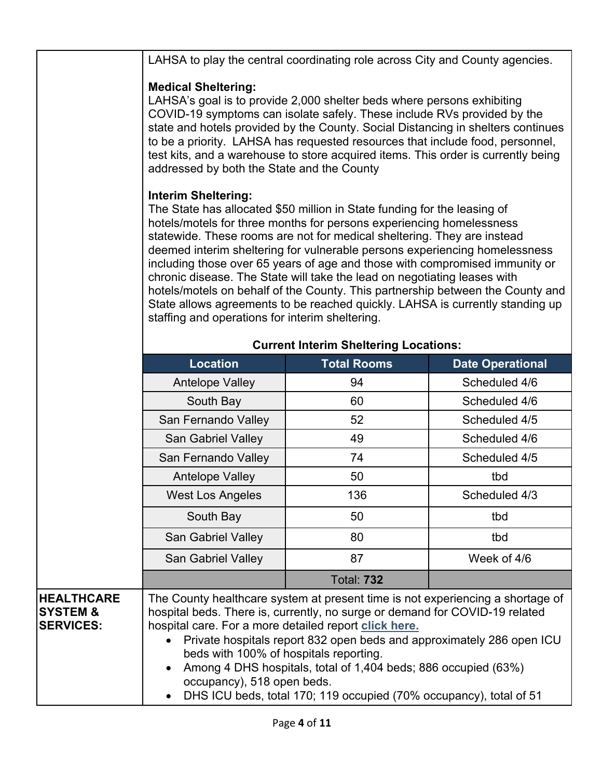|                                                              |                                                                                                                                                                                                                                                                                                                                                                                                                                                                                                                                                                                                                                                                                                                          | LAHSA to play the central coordinating role across City and County agencies. |                         |
|--------------------------------------------------------------|--------------------------------------------------------------------------------------------------------------------------------------------------------------------------------------------------------------------------------------------------------------------------------------------------------------------------------------------------------------------------------------------------------------------------------------------------------------------------------------------------------------------------------------------------------------------------------------------------------------------------------------------------------------------------------------------------------------------------|------------------------------------------------------------------------------|-------------------------|
|                                                              | <b>Medical Sheltering:</b><br>LAHSA's goal is to provide 2,000 shelter beds where persons exhibiting<br>COVID-19 symptoms can isolate safely. These include RVs provided by the<br>state and hotels provided by the County. Social Distancing in shelters continues<br>to be a priority. LAHSA has requested resources that include food, personnel,<br>test kits, and a warehouse to store acquired items. This order is currently being<br>addressed by both the State and the County                                                                                                                                                                                                                                  |                                                                              |                         |
|                                                              | <b>Interim Sheltering:</b><br>The State has allocated \$50 million in State funding for the leasing of<br>hotels/motels for three months for persons experiencing homelessness<br>statewide. These rooms are not for medical sheltering. They are instead<br>deemed interim sheltering for vulnerable persons experiencing homelessness<br>including those over 65 years of age and those with compromised immunity or<br>chronic disease. The State will take the lead on negotiating leases with<br>hotels/motels on behalf of the County. This partnership between the County and<br>State allows agreements to be reached quickly. LAHSA is currently standing up<br>staffing and operations for interim sheltering. |                                                                              |                         |
|                                                              | <b>Current Interim Sheltering Locations:</b>                                                                                                                                                                                                                                                                                                                                                                                                                                                                                                                                                                                                                                                                             |                                                                              |                         |
|                                                              | <b>Location</b>                                                                                                                                                                                                                                                                                                                                                                                                                                                                                                                                                                                                                                                                                                          | <b>Total Rooms</b>                                                           | <b>Date Operational</b> |
|                                                              | <b>Antelope Valley</b>                                                                                                                                                                                                                                                                                                                                                                                                                                                                                                                                                                                                                                                                                                   | 94                                                                           | Scheduled 4/6           |
|                                                              | South Bay                                                                                                                                                                                                                                                                                                                                                                                                                                                                                                                                                                                                                                                                                                                | 60                                                                           | Scheduled 4/6           |
|                                                              | San Fernando Valley                                                                                                                                                                                                                                                                                                                                                                                                                                                                                                                                                                                                                                                                                                      | 52                                                                           | Scheduled 4/5           |
|                                                              | San Gabriel Valley                                                                                                                                                                                                                                                                                                                                                                                                                                                                                                                                                                                                                                                                                                       | 49                                                                           | Scheduled 4/6           |
|                                                              | San Fernando Valley                                                                                                                                                                                                                                                                                                                                                                                                                                                                                                                                                                                                                                                                                                      | 74                                                                           | Scheduled 4/5           |
|                                                              | <b>Antelope Valley</b>                                                                                                                                                                                                                                                                                                                                                                                                                                                                                                                                                                                                                                                                                                   | 50                                                                           | tbd                     |
|                                                              | <b>West Los Angeles</b>                                                                                                                                                                                                                                                                                                                                                                                                                                                                                                                                                                                                                                                                                                  | 136                                                                          | Scheduled 4/3           |
|                                                              | South Bay                                                                                                                                                                                                                                                                                                                                                                                                                                                                                                                                                                                                                                                                                                                | 50                                                                           | tbd                     |
|                                                              | <b>San Gabriel Valley</b>                                                                                                                                                                                                                                                                                                                                                                                                                                                                                                                                                                                                                                                                                                | 80                                                                           | tbd                     |
|                                                              | San Gabriel Valley                                                                                                                                                                                                                                                                                                                                                                                                                                                                                                                                                                                                                                                                                                       | 87                                                                           | Week of 4/6             |
|                                                              |                                                                                                                                                                                                                                                                                                                                                                                                                                                                                                                                                                                                                                                                                                                          | <b>Total: 732</b>                                                            |                         |
| <b>HEALTHCARE</b><br><b>SYSTEM &amp;</b><br><b>SERVICES:</b> | The County healthcare system at present time is not experiencing a shortage of<br>hospital beds. There is, currently, no surge or demand for COVID-19 related<br>hospital care. For a more detailed report click here.<br>Private hospitals report 832 open beds and approximately 286 open ICU<br>beds with 100% of hospitals reporting.<br>Among 4 DHS hospitals, total of 1,404 beds; 886 occupied (63%)<br>$\bullet$<br>occupancy), 518 open beds.<br>DHS ICU beds, total 170; 119 occupied (70% occupancy), total of 51                                                                                                                                                                                             |                                                                              |                         |
|                                                              | $\bullet$                                                                                                                                                                                                                                                                                                                                                                                                                                                                                                                                                                                                                                                                                                                |                                                                              |                         |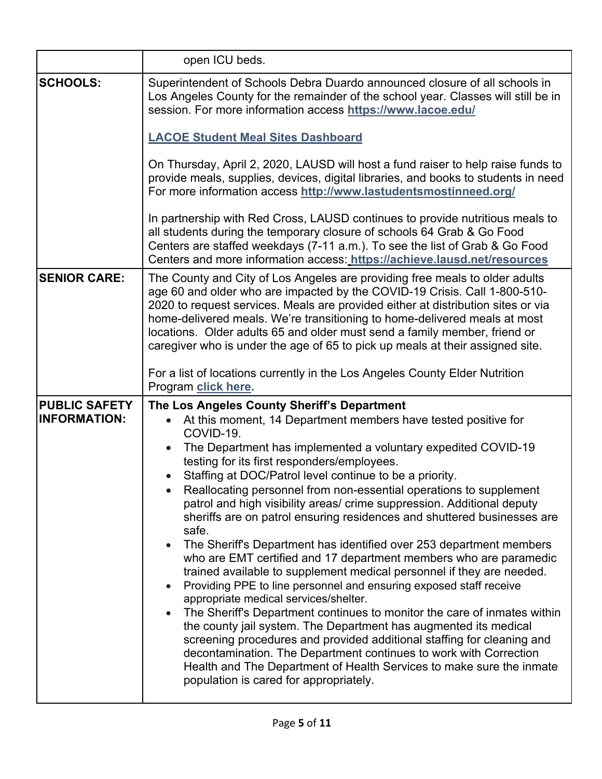|                                             | open ICU beds.                                                                                                                                                                                                                                                                                                                                                                                                                                                                                                                                                                                                                                                                                                                                                                                                                                                                                                                                                                                                                                                                                                                                                                                                                                                                                                                                     |
|---------------------------------------------|----------------------------------------------------------------------------------------------------------------------------------------------------------------------------------------------------------------------------------------------------------------------------------------------------------------------------------------------------------------------------------------------------------------------------------------------------------------------------------------------------------------------------------------------------------------------------------------------------------------------------------------------------------------------------------------------------------------------------------------------------------------------------------------------------------------------------------------------------------------------------------------------------------------------------------------------------------------------------------------------------------------------------------------------------------------------------------------------------------------------------------------------------------------------------------------------------------------------------------------------------------------------------------------------------------------------------------------------------|
| <b>SCHOOLS:</b>                             | Superintendent of Schools Debra Duardo announced closure of all schools in<br>Los Angeles County for the remainder of the school year. Classes will still be in<br>session. For more information access https://www.lacoe.edu/                                                                                                                                                                                                                                                                                                                                                                                                                                                                                                                                                                                                                                                                                                                                                                                                                                                                                                                                                                                                                                                                                                                     |
|                                             | <b>LACOE Student Meal Sites Dashboard</b>                                                                                                                                                                                                                                                                                                                                                                                                                                                                                                                                                                                                                                                                                                                                                                                                                                                                                                                                                                                                                                                                                                                                                                                                                                                                                                          |
|                                             | On Thursday, April 2, 2020, LAUSD will host a fund raiser to help raise funds to<br>provide meals, supplies, devices, digital libraries, and books to students in need<br>For more information access http://www.lastudentsmostinneed.org/                                                                                                                                                                                                                                                                                                                                                                                                                                                                                                                                                                                                                                                                                                                                                                                                                                                                                                                                                                                                                                                                                                         |
|                                             | In partnership with Red Cross, LAUSD continues to provide nutritious meals to<br>all students during the temporary closure of schools 64 Grab & Go Food<br>Centers are staffed weekdays (7-11 a.m.). To see the list of Grab & Go Food<br>Centers and more information access: https://achieve.lausd.net/resources                                                                                                                                                                                                                                                                                                                                                                                                                                                                                                                                                                                                                                                                                                                                                                                                                                                                                                                                                                                                                                 |
| <b>SENIOR CARE:</b>                         | The County and City of Los Angeles are providing free meals to older adults<br>age 60 and older who are impacted by the COVID-19 Crisis. Call 1-800-510-<br>2020 to request services. Meals are provided either at distribution sites or via<br>home-delivered meals. We're transitioning to home-delivered meals at most<br>locations. Older adults 65 and older must send a family member, friend or<br>caregiver who is under the age of 65 to pick up meals at their assigned site.<br>For a list of locations currently in the Los Angeles County Elder Nutrition                                                                                                                                                                                                                                                                                                                                                                                                                                                                                                                                                                                                                                                                                                                                                                             |
|                                             | Program click here.                                                                                                                                                                                                                                                                                                                                                                                                                                                                                                                                                                                                                                                                                                                                                                                                                                                                                                                                                                                                                                                                                                                                                                                                                                                                                                                                |
| <b>PUBLIC SAFETY</b><br><b>INFORMATION:</b> | The Los Angeles County Sheriff's Department<br>At this moment, 14 Department members have tested positive for<br>COVID-19.<br>The Department has implemented a voluntary expedited COVID-19<br>$\bullet$<br>testing for its first responders/employees.<br>Staffing at DOC/Patrol level continue to be a priority.<br>Reallocating personnel from non-essential operations to supplement<br>patrol and high visibility areas/ crime suppression. Additional deputy<br>sheriffs are on patrol ensuring residences and shuttered businesses are<br>safe.<br>The Sheriff's Department has identified over 253 department members<br>$\bullet$<br>who are EMT certified and 17 department members who are paramedic<br>trained available to supplement medical personnel if they are needed.<br>Providing PPE to line personnel and ensuring exposed staff receive<br>$\bullet$<br>appropriate medical services/shelter.<br>The Sheriff's Department continues to monitor the care of inmates within<br>$\bullet$<br>the county jail system. The Department has augmented its medical<br>screening procedures and provided additional staffing for cleaning and<br>decontamination. The Department continues to work with Correction<br>Health and The Department of Health Services to make sure the inmate<br>population is cared for appropriately. |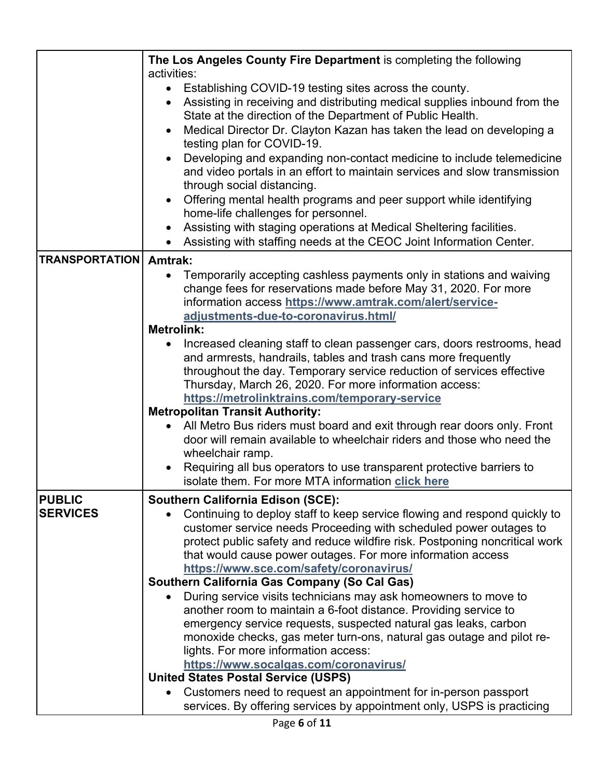|                       | The Los Angeles County Fire Department is completing the following<br>activities:                                                         |  |
|-----------------------|-------------------------------------------------------------------------------------------------------------------------------------------|--|
|                       | Establishing COVID-19 testing sites across the county.                                                                                    |  |
|                       | Assisting in receiving and distributing medical supplies inbound from the<br>State at the direction of the Department of Public Health.   |  |
|                       | Medical Director Dr. Clayton Kazan has taken the lead on developing a<br>testing plan for COVID-19.                                       |  |
|                       | Developing and expanding non-contact medicine to include telemedicine                                                                     |  |
|                       | and video portals in an effort to maintain services and slow transmission                                                                 |  |
|                       | through social distancing.                                                                                                                |  |
|                       | Offering mental health programs and peer support while identifying<br>$\bullet$                                                           |  |
|                       | home-life challenges for personnel.                                                                                                       |  |
|                       | Assisting with staging operations at Medical Sheltering facilities.                                                                       |  |
|                       | Assisting with staffing needs at the CEOC Joint Information Center.                                                                       |  |
| <b>TRANSPORTATION</b> | <b>Amtrak:</b>                                                                                                                            |  |
|                       | Temporarily accepting cashless payments only in stations and waiving                                                                      |  |
|                       | change fees for reservations made before May 31, 2020. For more                                                                           |  |
|                       | information access https://www.amtrak.com/alert/service-                                                                                  |  |
|                       | adjustments-due-to-coronavirus.html/                                                                                                      |  |
|                       | <b>Metrolink:</b>                                                                                                                         |  |
|                       | Increased cleaning staff to clean passenger cars, doors restrooms, head<br>and armrests, handrails, tables and trash cans more frequently |  |
|                       | throughout the day. Temporary service reduction of services effective                                                                     |  |
|                       | Thursday, March 26, 2020. For more information access:                                                                                    |  |
|                       | https://metrolinktrains.com/temporary-service                                                                                             |  |
|                       | <b>Metropolitan Transit Authority:</b>                                                                                                    |  |
|                       | All Metro Bus riders must board and exit through rear doors only. Front                                                                   |  |
|                       | door will remain available to wheelchair riders and those who need the<br>wheelchair ramp.                                                |  |
|                       | Requiring all bus operators to use transparent protective barriers to                                                                     |  |
|                       | isolate them. For more MTA information click here                                                                                         |  |
| <b>PUBLIC</b>         | <b>Southern California Edison (SCE):</b>                                                                                                  |  |
| <b>SERVICES</b>       | Continuing to deploy staff to keep service flowing and respond quickly to                                                                 |  |
|                       | customer service needs Proceeding with scheduled power outages to                                                                         |  |
|                       | protect public safety and reduce wildfire risk. Postponing noncritical work                                                               |  |
|                       | that would cause power outages. For more information access                                                                               |  |
|                       | https://www.sce.com/safety/coronavirus/                                                                                                   |  |
|                       | <b>Southern California Gas Company (So Cal Gas)</b>                                                                                       |  |
|                       | During service visits technicians may ask homeowners to move to                                                                           |  |
|                       | another room to maintain a 6-foot distance. Providing service to                                                                          |  |
|                       | emergency service requests, suspected natural gas leaks, carbon<br>monoxide checks, gas meter turn-ons, natural gas outage and pilot re-  |  |
|                       | lights. For more information access:                                                                                                      |  |
|                       | https://www.socalgas.com/coronavirus/                                                                                                     |  |
|                       | <b>United States Postal Service (USPS)</b>                                                                                                |  |
|                       | Customers need to request an appointment for in-person passport                                                                           |  |
|                       | services. By offering services by appointment only, USPS is practicing                                                                    |  |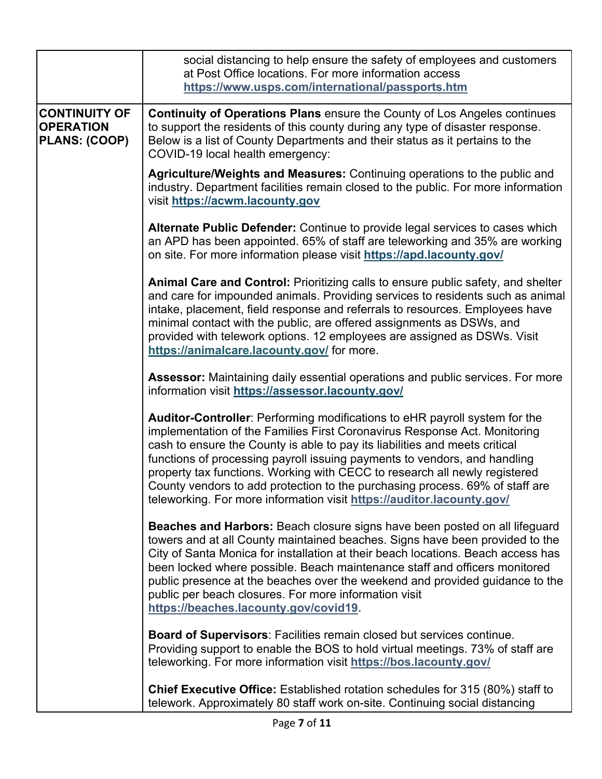|                                                           | social distancing to help ensure the safety of employees and customers<br>at Post Office locations. For more information access<br>https://www.usps.com/international/passports.htm                                                                                                                                                                                                                                                                                                                                                                        |
|-----------------------------------------------------------|------------------------------------------------------------------------------------------------------------------------------------------------------------------------------------------------------------------------------------------------------------------------------------------------------------------------------------------------------------------------------------------------------------------------------------------------------------------------------------------------------------------------------------------------------------|
| <b>CONTINUITY OF</b><br><b>OPERATION</b><br>PLANS: (COOP) | <b>Continuity of Operations Plans</b> ensure the County of Los Angeles continues<br>to support the residents of this county during any type of disaster response.<br>Below is a list of County Departments and their status as it pertains to the<br>COVID-19 local health emergency:                                                                                                                                                                                                                                                                      |
|                                                           | Agriculture/Weights and Measures: Continuing operations to the public and<br>industry. Department facilities remain closed to the public. For more information<br>visit https://acwm.lacounty.gov                                                                                                                                                                                                                                                                                                                                                          |
|                                                           | Alternate Public Defender: Continue to provide legal services to cases which<br>an APD has been appointed. 65% of staff are teleworking and 35% are working<br>on site. For more information please visit https://apd.lacounty.gov/                                                                                                                                                                                                                                                                                                                        |
|                                                           | Animal Care and Control: Prioritizing calls to ensure public safety, and shelter<br>and care for impounded animals. Providing services to residents such as animal<br>intake, placement, field response and referrals to resources. Employees have<br>minimal contact with the public, are offered assignments as DSWs, and<br>provided with telework options. 12 employees are assigned as DSWs. Visit<br>https://animalcare.lacounty.gov/ for more.                                                                                                      |
|                                                           | Assessor: Maintaining daily essential operations and public services. For more<br>information visit https://assessor.lacounty.gov/                                                                                                                                                                                                                                                                                                                                                                                                                         |
|                                                           | Auditor-Controller: Performing modifications to eHR payroll system for the<br>implementation of the Families First Coronavirus Response Act. Monitoring<br>cash to ensure the County is able to pay its liabilities and meets critical<br>functions of processing payroll issuing payments to vendors, and handling<br>property tax functions. Working with CECC to research all newly registered<br>County vendors to add protection to the purchasing process. 69% of staff are<br>teleworking. For more information visit https://auditor.lacounty.gov/ |
|                                                           | Beaches and Harbors: Beach closure signs have been posted on all lifeguard<br>towers and at all County maintained beaches. Signs have been provided to the<br>City of Santa Monica for installation at their beach locations. Beach access has<br>been locked where possible. Beach maintenance staff and officers monitored<br>public presence at the beaches over the weekend and provided guidance to the<br>public per beach closures. For more information visit<br>https://beaches.lacounty.gov/covid19.                                             |
|                                                           | Board of Supervisors: Facilities remain closed but services continue.<br>Providing support to enable the BOS to hold virtual meetings. 73% of staff are<br>teleworking. For more information visit https://bos.lacounty.gov/                                                                                                                                                                                                                                                                                                                               |
|                                                           | <b>Chief Executive Office:</b> Established rotation schedules for 315 (80%) staff to<br>telework. Approximately 80 staff work on-site. Continuing social distancing                                                                                                                                                                                                                                                                                                                                                                                        |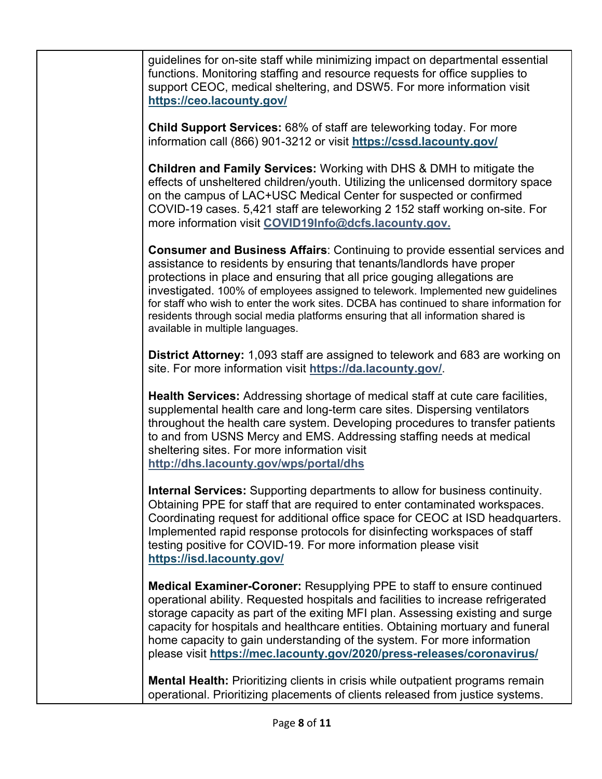guidelines for on-site staff while minimizing impact on departmental essential functions. Monitoring staffing and resource requests for office supplies to support CEOC, medical sheltering, and DSW5. For more information visit **https://ceo.lacounty.gov/**

**Child Support Services:** 68% of staff are teleworking today. For more information call (866) 901-3212 or visit **https://cssd.lacounty.gov/**

**Children and Family Services:** Working with DHS & DMH to mitigate the effects of unsheltered children/youth. Utilizing the unlicensed dormitory space on the campus of LAC+USC Medical Center for suspected or confirmed COVID-19 cases. 5,421 staff are teleworking 2 152 staff working on-site. For more information visit **COVID19Info@dcfs.lacounty.gov.**

**Consumer and Business Affairs**: Continuing to provide essential services and assistance to residents by ensuring that tenants/landlords have proper protections in place and ensuring that all price gouging allegations are investigated. 100% of employees assigned to telework. Implemented new guidelines for staff who wish to enter the work sites. DCBA has continued to share information for residents through social media platforms ensuring that all information shared is available in multiple languages.

**District Attorney:** 1,093 staff are assigned to telework and 683 are working on site. For more information visit **https://da.lacounty.gov/**.

**Health Services:** Addressing shortage of medical staff at cute care facilities, supplemental health care and long-term care sites. Dispersing ventilators throughout the health care system. Developing procedures to transfer patients to and from USNS Mercy and EMS. Addressing staffing needs at medical sheltering sites. For more information visit **http://dhs.lacounty.gov/wps/portal/dhs**

**Internal Services:** Supporting departments to allow for business continuity. Obtaining PPE for staff that are required to enter contaminated workspaces. Coordinating request for additional office space for CEOC at ISD headquarters. Implemented rapid response protocols for disinfecting workspaces of staff testing positive for COVID-19. For more information please visit **https://isd.lacounty.gov/**

**Medical Examiner-Coroner:** Resupplying PPE to staff to ensure continued operational ability. Requested hospitals and facilities to increase refrigerated storage capacity as part of the exiting MFI plan. Assessing existing and surge capacity for hospitals and healthcare entities. Obtaining mortuary and funeral home capacity to gain understanding of the system. For more information please visit **https://mec.lacounty.gov/2020/press-releases/coronavirus/**

**Mental Health:** Prioritizing clients in crisis while outpatient programs remain operational. Prioritizing placements of clients released from justice systems.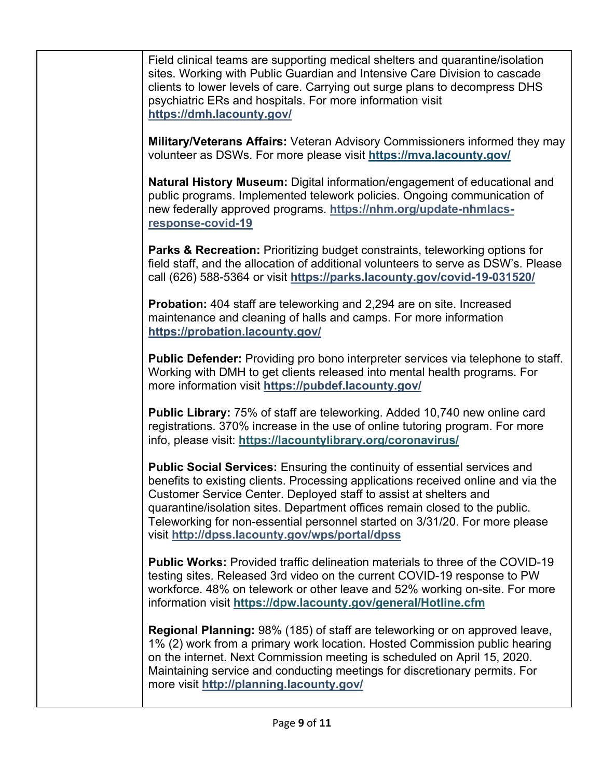Field clinical teams are supporting medical shelters and quarantine/isolation sites. Working with Public Guardian and Intensive Care Division to cascade clients to lower levels of care. Carrying out surge plans to decompress DHS psychiatric ERs and hospitals. For more information visit **https://dmh.lacounty.gov/**

**Military/Veterans Affairs:** Veteran Advisory Commissioners informed they may volunteer as DSWs. For more please visit **https://mva.lacounty.gov/**

**Natural History Museum:** Digital information/engagement of educational and public programs. Implemented telework policies. Ongoing communication of new federally approved programs. **https://nhm.org/update-nhmlacsresponse-covid-19**

**Parks & Recreation:** Prioritizing budget constraints, teleworking options for field staff, and the allocation of additional volunteers to serve as DSW's. Please call (626) 588-5364 or visit **https://parks.lacounty.gov/covid-19-031520/**

**Probation:** 404 staff are teleworking and 2,294 are on site. Increased maintenance and cleaning of halls and camps. For more information **https://probation.lacounty.gov/**

**Public Defender:** Providing pro bono interpreter services via telephone to staff. Working with DMH to get clients released into mental health programs. For more information visit **https://pubdef.lacounty.gov/**

**Public Library:** 75% of staff are teleworking. Added 10,740 new online card registrations. 370% increase in the use of online tutoring program. For more info, please visit: **https://lacountylibrary.org/coronavirus/**

**Public Social Services:** Ensuring the continuity of essential services and benefits to existing clients. Processing applications received online and via the Customer Service Center. Deployed staff to assist at shelters and quarantine/isolation sites. Department offices remain closed to the public. Teleworking for non-essential personnel started on 3/31/20. For more please visit **http://dpss.lacounty.gov/wps/portal/dpss** 

**Public Works:** Provided traffic delineation materials to three of the COVID-19 testing sites. Released 3rd video on the current COVID-19 response to PW workforce. 48% on telework or other leave and 52% working on-site. For more information visit **https://dpw.lacounty.gov/general/Hotline.cfm**

**Regional Planning:** 98% (185) of staff are teleworking or on approved leave, 1% (2) work from a primary work location. Hosted Commission public hearing on the internet. Next Commission meeting is scheduled on April 15, 2020. Maintaining service and conducting meetings for discretionary permits. For more visit **http://planning.lacounty.gov/**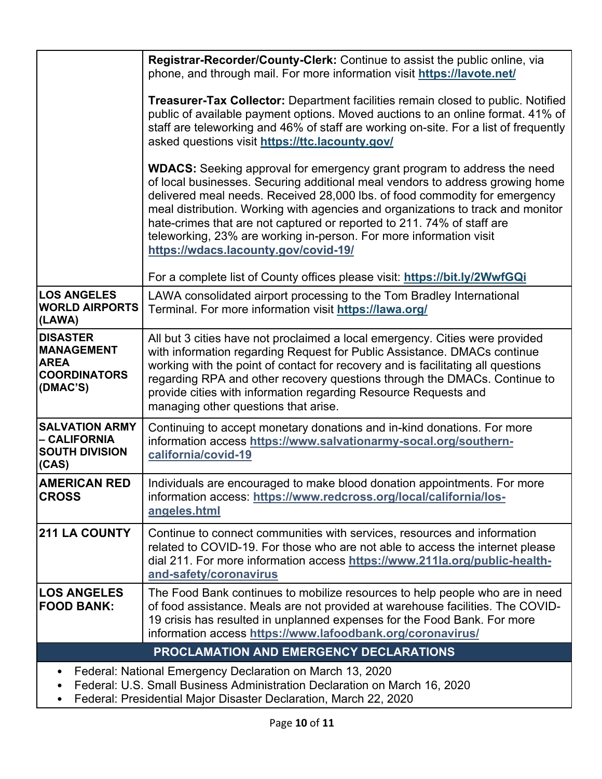|                                                                                        | Registrar-Recorder/County-Clerk: Continue to assist the public online, via<br>phone, and through mail. For more information visit https://lavote.net/                                                                                                                                                                                                                                                                                                                                                                    |
|----------------------------------------------------------------------------------------|--------------------------------------------------------------------------------------------------------------------------------------------------------------------------------------------------------------------------------------------------------------------------------------------------------------------------------------------------------------------------------------------------------------------------------------------------------------------------------------------------------------------------|
|                                                                                        | <b>Treasurer-Tax Collector:</b> Department facilities remain closed to public. Notified<br>public of available payment options. Moved auctions to an online format. 41% of<br>staff are teleworking and 46% of staff are working on-site. For a list of frequently<br>asked questions visit https://ttc.lacounty.gov/                                                                                                                                                                                                    |
|                                                                                        | <b>WDACS:</b> Seeking approval for emergency grant program to address the need<br>of local businesses. Securing additional meal vendors to address growing home<br>delivered meal needs. Received 28,000 lbs. of food commodity for emergency<br>meal distribution. Working with agencies and organizations to track and monitor<br>hate-crimes that are not captured or reported to 211. 74% of staff are<br>teleworking, 23% are working in-person. For more information visit<br>https://wdacs.lacounty.gov/covid-19/ |
|                                                                                        | For a complete list of County offices please visit: https://bit.ly/2WwfGQi                                                                                                                                                                                                                                                                                                                                                                                                                                               |
| <b>LOS ANGELES</b><br><b>WORLD AIRPORTS</b><br>(LAWA)                                  | LAWA consolidated airport processing to the Tom Bradley International<br>Terminal. For more information visit https://lawa.org/                                                                                                                                                                                                                                                                                                                                                                                          |
| <b>DISASTER</b><br><b>MANAGEMENT</b><br><b>AREA</b><br><b>COORDINATORS</b><br>(DMAC'S) | All but 3 cities have not proclaimed a local emergency. Cities were provided<br>with information regarding Request for Public Assistance. DMACs continue<br>working with the point of contact for recovery and is facilitating all questions<br>regarding RPA and other recovery questions through the DMACs. Continue to<br>provide cities with information regarding Resource Requests and<br>managing other questions that arise.                                                                                     |
| <b>SALVATION ARMY</b><br>– CALIFORNIA<br><b>SOUTH DIVISION</b><br>(CAS)                | Continuing to accept monetary donations and in-kind donations. For more<br>information access https://www.salvationarmy-socal.org/southern-<br>california/covid-19                                                                                                                                                                                                                                                                                                                                                       |
| <b>AMERICAN RED</b><br><b>CROSS</b>                                                    | Individuals are encouraged to make blood donation appointments. For more<br>information access: https://www.redcross.org/local/california/los-<br>angeles.html                                                                                                                                                                                                                                                                                                                                                           |
| <b>211 LA COUNTY</b>                                                                   | Continue to connect communities with services, resources and information<br>related to COVID-19. For those who are not able to access the internet please<br>dial 211. For more information access https://www.211la.org/public-health-<br>and-safety/coronavirus                                                                                                                                                                                                                                                        |
| <b>LOS ANGELES</b><br><b>FOOD BANK:</b>                                                | The Food Bank continues to mobilize resources to help people who are in need<br>of food assistance. Meals are not provided at warehouse facilities. The COVID-<br>19 crisis has resulted in unplanned expenses for the Food Bank. For more<br>information access https://www.lafoodbank.org/coronavirus/                                                                                                                                                                                                                 |
|                                                                                        | PROCLAMATION AND EMERGENCY DECLARATIONS                                                                                                                                                                                                                                                                                                                                                                                                                                                                                  |
|                                                                                        | Federal: National Emergency Declaration on March 13, 2020                                                                                                                                                                                                                                                                                                                                                                                                                                                                |
|                                                                                        | derel: LLC, Cmell Business, Administration Declaration on March 16, 2020                                                                                                                                                                                                                                                                                                                                                                                                                                                 |

- Federal: U.S. Small Business Administration Declaration on March 16, 2020
- Federal: Presidential Major Disaster Declaration, March 22, 2020